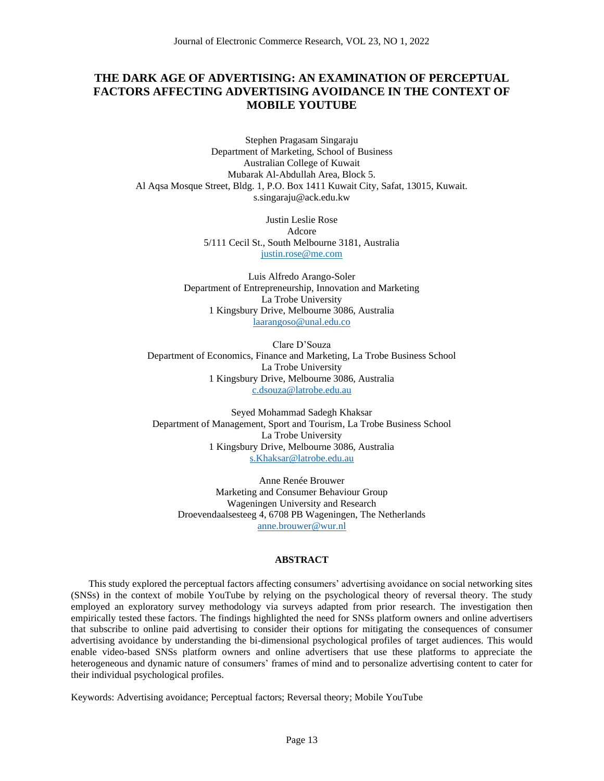# **THE DARK AGE OF ADVERTISING: AN EXAMINATION OF PERCEPTUAL FACTORS AFFECTING ADVERTISING AVOIDANCE IN THE CONTEXT OF MOBILE YOUTUBE**

Stephen Pragasam Singaraju Department of Marketing, School of Business Australian College of Kuwait Mubarak Al-Abdullah Area, Block 5. Al Aqsa Mosque Street, Bldg. 1, P.O. Box 1411 Kuwait City, Safat, 13015, Kuwait. s.singaraju@ack.edu.kw

> Justin Leslie Rose Adcore 5/111 Cecil St., South Melbourne 3181, Australia justin.rose@me.com

Luis Alfredo Arango-Soler Department of Entrepreneurship, Innovation and Marketing La Trobe University 1 Kingsbury Drive, Melbourne 3086, Australia laarangoso@unal.edu.co

Clare D'Souza Department of Economics, Finance and Marketing, La Trobe Business School La Trobe University 1 Kingsbury Drive, Melbourne 3086, Australia [c.dsouza@latrobe.edu.au](mailto:c.dsouza@latrobe.edu.au)

Seyed Mohammad Sadegh Khaksar Department of Management, Sport and Tourism, La Trobe Business School La Trobe University 1 Kingsbury Drive, Melbourne 3086, Australia [s.Khaksar@latrobe.edu.au](mailto:s.Khaksar@latrobe.edu.au)

Anne Renée Brouwer Marketing and Consumer Behaviour Group Wageningen University and Research Droevendaalsesteeg 4, 6708 PB Wageningen, The Netherlands [anne.brouwer@wur.nl](mailto:anne.brouwer@wur.nl)

# **ABSTRACT**

This study explored the perceptual factors affecting consumers' advertising avoidance on social networking sites (SNSs) in the context of mobile YouTube by relying on the psychological theory of reversal theory. The study employed an exploratory survey methodology via surveys adapted from prior research. The investigation then empirically tested these factors. The findings highlighted the need for SNSs platform owners and online advertisers that subscribe to online paid advertising to consider their options for mitigating the consequences of consumer advertising avoidance by understanding the bi-dimensional psychological profiles of target audiences. This would enable video-based SNSs platform owners and online advertisers that use these platforms to appreciate the heterogeneous and dynamic nature of consumers' frames of mind and to personalize advertising content to cater for their individual psychological profiles.

Keywords: Advertising avoidance; Perceptual factors; Reversal theory; Mobile YouTube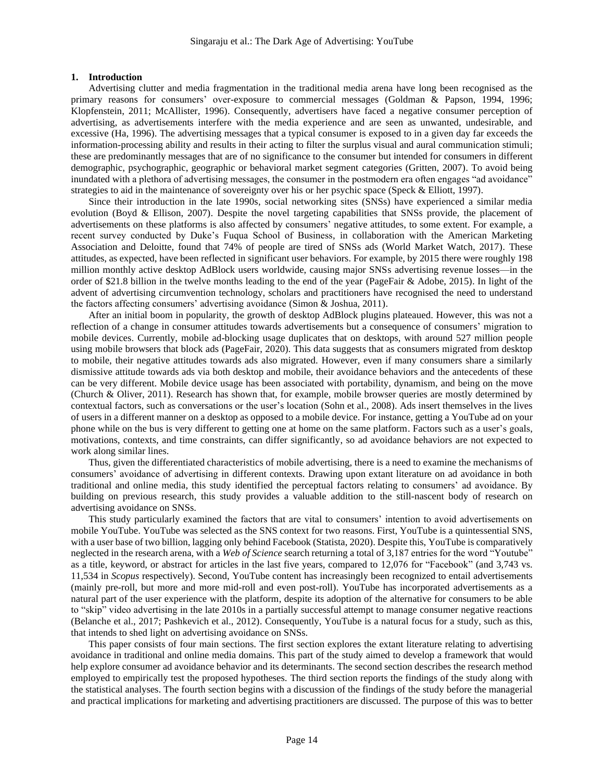### **1. Introduction**

Advertising clutter and media fragmentation in the traditional media arena have long been recognised as the primary reasons for consumers' over-exposure to commercial messages (Goldman & Papson, 1994, 1996; Klopfenstein, 2011; McAllister, 1996). Consequently, advertisers have faced a negative consumer perception of advertising, as advertisements interfere with the media experience and are seen as unwanted, undesirable, and excessive (Ha, 1996). The advertising messages that a typical consumer is exposed to in a given day far exceeds the information-processing ability and results in their acting to filter the surplus visual and aural communication stimuli; these are predominantly messages that are of no significance to the consumer but intended for consumers in different demographic, psychographic, geographic or behavioral market segment categories (Gritten, 2007). To avoid being inundated with a plethora of advertising messages, the consumer in the postmodern era often engages "ad avoidance" strategies to aid in the maintenance of sovereignty over his or her psychic space (Speck & Elliott, 1997).

Since their introduction in the late 1990s, social networking sites (SNSs) have experienced a similar media evolution (Boyd & Ellison, 2007). Despite the novel targeting capabilities that SNSs provide, the placement of advertisements on these platforms is also affected by consumers' negative attitudes, to some extent. For example, a recent survey conducted by Duke's Fuqua School of Business, in collaboration with the American Marketing Association and Deloitte, found that 74% of people are tired of SNSs ads (World Market Watch, 2017). These attitudes, as expected, have been reflected in significant user behaviors. For example, by 2015 there were roughly 198 million monthly active desktop AdBlock users worldwide, causing major SNSs advertising revenue losses—in the order of \$21.8 billion in the twelve months leading to the end of the year (PageFair & Adobe, 2015). In light of the advent of advertising circumvention technology, scholars and practitioners have recognised the need to understand the factors affecting consumers' advertising avoidance (Simon & Joshua, 2011).

After an initial boom in popularity, the growth of desktop AdBlock plugins plateaued. However, this was not a reflection of a change in consumer attitudes towards advertisements but a consequence of consumers' migration to mobile devices. Currently, mobile ad-blocking usage duplicates that on desktops, with around 527 million people using mobile browsers that block ads (PageFair, 2020). This data suggests that as consumers migrated from desktop to mobile, their negative attitudes towards ads also migrated. However, even if many consumers share a similarly dismissive attitude towards ads via both desktop and mobile, their avoidance behaviors and the antecedents of these can be very different. Mobile device usage has been associated with portability, dynamism, and being on the move (Church & Oliver, 2011). Research has shown that, for example, mobile browser queries are mostly determined by contextual factors, such as conversations or the user's location (Sohn et al., 2008). Ads insert themselves in the lives of users in a different manner on a desktop as opposed to a mobile device. For instance, getting a YouTube ad on your phone while on the bus is very different to getting one at home on the same platform. Factors such as a user's goals, motivations, contexts, and time constraints, can differ significantly, so ad avoidance behaviors are not expected to work along similar lines.

Thus, given the differentiated characteristics of mobile advertising, there is a need to examine the mechanisms of consumers' avoidance of advertising in different contexts. Drawing upon extant literature on ad avoidance in both traditional and online media, this study identified the perceptual factors relating to consumers' ad avoidance. By building on previous research, this study provides a valuable addition to the still-nascent body of research on advertising avoidance on SNSs.

This study particularly examined the factors that are vital to consumers' intention to avoid advertisements on mobile YouTube. YouTube was selected as the SNS context for two reasons. First, YouTube is a quintessential SNS, with a user base of two billion, lagging only behind Facebook (Statista, 2020). Despite this, YouTube is comparatively neglected in the research arena, with a *Web of Science* search returning a total of 3,187 entries for the word "Youtube" as a title, keyword, or abstract for articles in the last five years, compared to 12,076 for "Facebook" (and 3,743 vs. 11,534 in *Scopus* respectively). Second, YouTube content has increasingly been recognized to entail advertisements (mainly pre-roll, but more and more mid-roll and even post-roll). YouTube has incorporated advertisements as a natural part of the user experience with the platform, despite its adoption of the alternative for consumers to be able to "skip" video advertising in the late 2010s in a partially successful attempt to manage consumer negative reactions (Belanche et al., 2017; Pashkevich et al., 2012). Consequently, YouTube is a natural focus for a study, such as this, that intends to shed light on advertising avoidance on SNSs.

This paper consists of four main sections. The first section explores the extant literature relating to advertising avoidance in traditional and online media domains. This part of the study aimed to develop a framework that would help explore consumer ad avoidance behavior and its determinants. The second section describes the research method employed to empirically test the proposed hypotheses. The third section reports the findings of the study along with the statistical analyses. The fourth section begins with a discussion of the findings of the study before the managerial and practical implications for marketing and advertising practitioners are discussed. The purpose of this was to better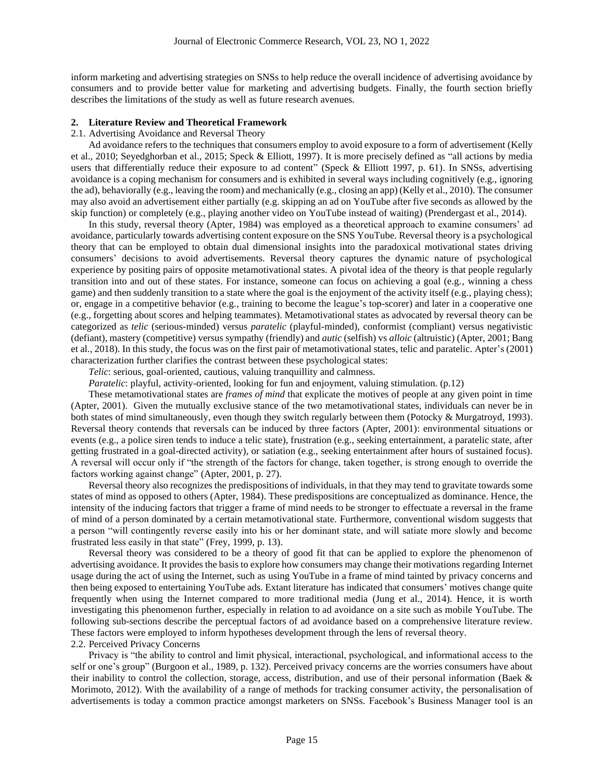inform marketing and advertising strategies on SNSs to help reduce the overall incidence of advertising avoidance by consumers and to provide better value for marketing and advertising budgets. Finally, the fourth section briefly describes the limitations of the study as well as future research avenues.

#### **2. Literature Review and Theoretical Framework**

### 2.1. Advertising Avoidance and Reversal Theory

Ad avoidance refers to the techniques that consumers employ to avoid exposure to a form of advertisement (Kelly et al., 2010; Seyedghorban et al., 2015; Speck & Elliott, 1997). It is more precisely defined as "all actions by media users that differentially reduce their exposure to ad content" (Speck & Elliott 1997, p. 61). In SNSs, advertising avoidance is a coping mechanism for consumers and is exhibited in several ways including cognitively (e.g., ignoring the ad), behaviorally (e.g., leaving the room) and mechanically (e.g., closing an app) (Kelly et al., 2010). The consumer may also avoid an advertisement either partially (e.g. skipping an ad on YouTube after five seconds as allowed by the skip function) or completely (e.g., playing another video on YouTube instead of waiting) (Prendergast et al., 2014).

In this study, reversal theory (Apter, 1984) was employed as a theoretical approach to examine consumers' ad avoidance, particularly towards advertising content exposure on the SNS YouTube. Reversal theory is a psychological theory that can be employed to obtain dual dimensional insights into the paradoxical motivational states driving consumers' decisions to avoid advertisements. Reversal theory captures the dynamic nature of psychological experience by positing pairs of opposite metamotivational states. A pivotal idea of the theory is that people regularly transition into and out of these states. For instance, someone can focus on achieving a goal (e.g., winning a chess game) and then suddenly transition to a state where the goal is the enjoyment of the activity itself (e.g., playing chess); or, engage in a competitive behavior (e.g., training to become the league's top-scorer) and later in a cooperative one (e.g., forgetting about scores and helping teammates). Metamotivational states as advocated by reversal theory can be categorized as *telic* (serious-minded) versus *paratelic* (playful-minded), conformist (compliant) versus negativistic (defiant), mastery (competitive) versus sympathy (friendly) and *autic* (selfish) vs *alloic* (altruistic) (Apter, 2001; Bang et al., 2018). In this study, the focus was on the first pair of metamotivational states, telic and paratelic. Apter's (2001) characterization further clarifies the contrast between these psychological states:

*Telic*: serious, goal-oriented, cautious, valuing tranquillity and calmness.

*Paratelic*: playful, activity-oriented, looking for fun and enjoyment, valuing stimulation. (p.12)

These metamotivational states are *frames of mind* that explicate the motives of people at any given point in time (Apter, 2001). Given the mutually exclusive stance of the two metamotivational states, individuals can never be in both states of mind simultaneously, even though they switch regularly between them (Potocky & Murgatroyd, 1993). Reversal theory contends that reversals can be induced by three factors (Apter, 2001): environmental situations or events (e.g., a police siren tends to induce a telic state), frustration (e.g., seeking entertainment, a paratelic state, after getting frustrated in a goal-directed activity), or satiation (e.g., seeking entertainment after hours of sustained focus). A reversal will occur only if "the strength of the factors for change, taken together, is strong enough to override the factors working against change" (Apter, 2001, p. 27).

Reversal theory also recognizes the predispositions of individuals, in that they may tend to gravitate towards some states of mind as opposed to others (Apter, 1984). These predispositions are conceptualized as dominance. Hence, the intensity of the inducing factors that trigger a frame of mind needs to be stronger to effectuate a reversal in the frame of mind of a person dominated by a certain metamotivational state. Furthermore, conventional wisdom suggests that a person "will contingently reverse easily into his or her dominant state, and will satiate more slowly and become frustrated less easily in that state" (Frey, 1999, p. 13).

Reversal theory was considered to be a theory of good fit that can be applied to explore the phenomenon of advertising avoidance. It provides the basis to explore how consumers may change their motivations regarding Internet usage during the act of using the Internet, such as using YouTube in a frame of mind tainted by privacy concerns and then being exposed to entertaining YouTube ads. Extant literature has indicated that consumers' motives change quite frequently when using the Internet compared to more traditional media (Jung et al., 2014). Hence, it is worth investigating this phenomenon further, especially in relation to ad avoidance on a site such as mobile YouTube. The following sub-sections describe the perceptual factors of ad avoidance based on a comprehensive literature review. These factors were employed to inform hypotheses development through the lens of reversal theory. 2.2. Perceived Privacy Concerns

Privacy is "the ability to control and limit physical, interactional, psychological, and informational access to the self or one's group" (Burgoon et al., 1989, p. 132). Perceived privacy concerns are the worries consumers have about their inability to control the collection, storage, access, distribution, and use of their personal information (Baek  $\&$ Morimoto, 2012). With the availability of a range of methods for tracking consumer activity, the personalisation of advertisements is today a common practice amongst marketers on SNSs. Facebook's Business Manager tool is an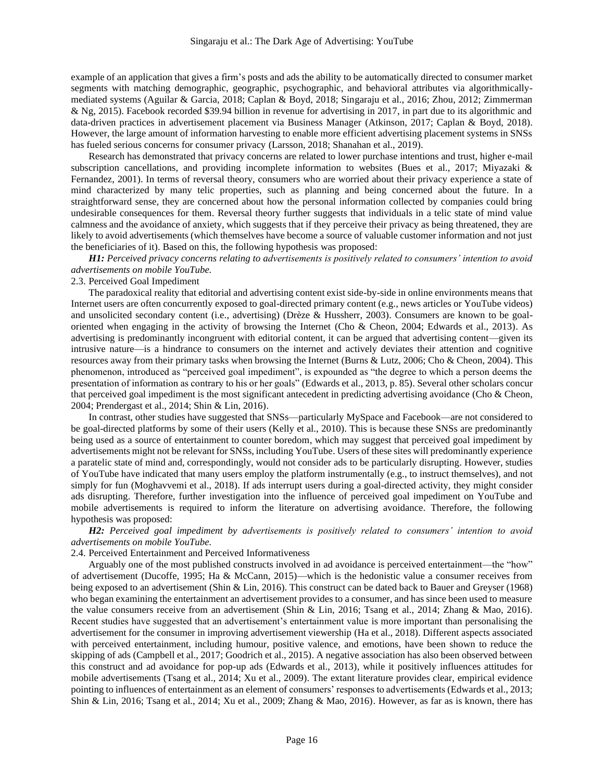example of an application that gives a firm's posts and ads the ability to be automatically directed to consumer market segments with matching demographic, geographic, psychographic, and behavioral attributes via algorithmicallymediated systems (Aguilar & Garcia, 2018; Caplan & Boyd, 2018; Singaraju et al., 2016; Zhou, 2012; Zimmerman & Ng, 2015). Facebook recorded \$39.94 billion in revenue for advertising in 2017, in part due to its algorithmic and data-driven practices in advertisement placement via Business Manager (Atkinson, 2017; Caplan & Boyd, 2018). However, the large amount of information harvesting to enable more efficient advertising placement systems in SNSs has fueled serious concerns for consumer privacy (Larsson, 2018; Shanahan et al., 2019).

Research has demonstrated that privacy concerns are related to lower purchase intentions and trust, higher e-mail subscription cancellations, and providing incomplete information to websites (Bues et al., 2017; Miyazaki & Fernandez, 2001). In terms of reversal theory, consumers who are worried about their privacy experience a state of mind characterized by many telic properties, such as planning and being concerned about the future. In a straightforward sense, they are concerned about how the personal information collected by companies could bring undesirable consequences for them. Reversal theory further suggests that individuals in a telic state of mind value calmness and the avoidance of anxiety, which suggests that if they perceive their privacy as being threatened, they are likely to avoid advertisements (which themselves have become a source of valuable customer information and not just the beneficiaries of it). Based on this, the following hypothesis was proposed:

*H1: Perceived privacy concerns relating to advertisements is positively related to consumers' intention to avoid advertisements on mobile YouTube.* 

# 2.3. Perceived Goal Impediment

The paradoxical reality that editorial and advertising content exist side-by-side in online environments means that Internet users are often concurrently exposed to goal-directed primary content (e.g., news articles or YouTube videos) and unsolicited secondary content (i.e., advertising) (Drèze & Hussherr, 2003). Consumers are known to be goaloriented when engaging in the activity of browsing the Internet (Cho & Cheon, 2004; Edwards et al., 2013). As advertising is predominantly incongruent with editorial content, it can be argued that advertising content—given its intrusive nature—is a hindrance to consumers on the internet and actively deviates their attention and cognitive resources away from their primary tasks when browsing the Internet (Burns & Lutz, 2006; Cho & Cheon, 2004). This phenomenon, introduced as "perceived goal impediment", is expounded as "the degree to which a person deems the presentation of information as contrary to his or her goals" (Edwards et al., 2013, p. 85). Several other scholars concur that perceived goal impediment is the most significant antecedent in predicting advertising avoidance (Cho & Cheon, 2004; Prendergast et al., 2014; Shin & Lin, 2016).

In contrast, other studies have suggested that SNSs—particularly MySpace and Facebook—are not considered to be goal-directed platforms by some of their users (Kelly et al., 2010). This is because these SNSs are predominantly being used as a source of entertainment to counter boredom, which may suggest that perceived goal impediment by advertisements might not be relevant for SNSs, including YouTube. Users of these sites will predominantly experience a paratelic state of mind and, correspondingly, would not consider ads to be particularly disrupting. However, studies of YouTube have indicated that many users employ the platform instrumentally (e.g., to instruct themselves), and not simply for fun (Moghavvemi et al., 2018). If ads interrupt users during a goal-directed activity, they might consider ads disrupting. Therefore, further investigation into the influence of perceived goal impediment on YouTube and mobile advertisements is required to inform the literature on advertising avoidance. Therefore, the following hypothesis was proposed:

*H2: Perceived goal impediment by advertisements is positively related to consumers' intention to avoid advertisements on mobile YouTube.* 

2.4. Perceived Entertainment and Perceived Informativeness

Arguably one of the most published constructs involved in ad avoidance is perceived entertainment—the "how" of advertisement (Ducoffe, 1995; Ha & McCann, 2015)—which is the hedonistic value a consumer receives from being exposed to an advertisement (Shin & Lin, 2016). This construct can be dated back to Bauer and Greyser (1968) who began examining the entertainment an advertisement provides to a consumer, and has since been used to measure the value consumers receive from an advertisement (Shin & Lin, 2016; Tsang et al., 2014; Zhang & Mao, 2016). Recent studies have suggested that an advertisement's entertainment value is more important than personalising the advertisement for the consumer in improving advertisement viewership (Ha et al., 2018). Different aspects associated with perceived entertainment, including humour, positive valence, and emotions, have been shown to reduce the skipping of ads (Campbell et al., 2017; Goodrich et al., 2015). A negative association has also been observed between this construct and ad avoidance for pop-up ads (Edwards et al., 2013), while it positively influences attitudes for mobile advertisements (Tsang et al., 2014; Xu et al., 2009). The extant literature provides clear, empirical evidence pointing to influences of entertainment as an element of consumers' responses to advertisements (Edwards et al., 2013; Shin & Lin, 2016; Tsang et al., 2014; Xu et al., 2009; Zhang & Mao, 2016). However, as far as is known, there has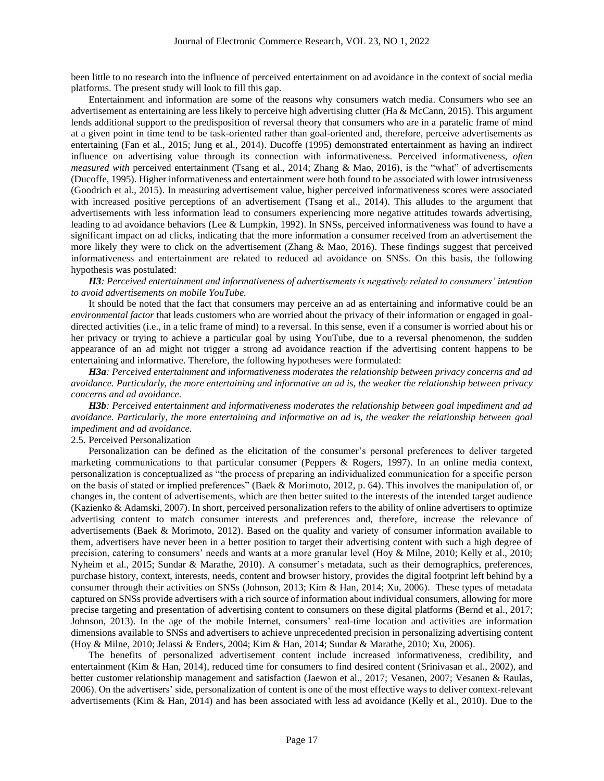been little to no research into the influence of perceived entertainment on ad avoidance in the context of social media platforms. The present study will look to fill this gap.

Entertainment and information are some of the reasons why consumers watch media. Consumers who see an advertisement as entertaining are less likely to perceive high advertising clutter (Ha & McCann, 2015). This argument lends additional support to the predisposition of reversal theory that consumers who are in a paratelic frame of mind at a given point in time tend to be task-oriented rather than goal-oriented and, therefore, perceive advertisements as entertaining (Fan et al., 2015; Jung et al., 2014). Ducoffe (1995) demonstrated entertainment as having an indirect influence on advertising value through its connection with informativeness. Perceived informativeness, *often measured with* perceived entertainment (Tsang et al., 2014; Zhang & Mao, 2016), is the "what" of advertisements (Ducoffe, 1995). Higher informativeness and entertainment were both found to be associated with lower intrusiveness (Goodrich et al., 2015). In measuring advertisement value, higher perceived informativeness scores were associated with increased positive perceptions of an advertisement (Tsang et al., 2014). This alludes to the argument that advertisements with less information lead to consumers experiencing more negative attitudes towards advertising, leading to ad avoidance behaviors (Lee & Lumpkin, 1992). In SNSs, perceived informativeness was found to have a significant impact on ad clicks, indicating that the more information a consumer received from an advertisement the more likely they were to click on the advertisement (Zhang & Mao, 2016). These findings suggest that perceived informativeness and entertainment are related to reduced ad avoidance on SNSs. On this basis, the following hypothesis was postulated:

*H3: Perceived entertainment and informativeness of advertisements is negatively related to consumers' intention to avoid advertisements on mobile YouTube.*

It should be noted that the fact that consumers may perceive an ad as entertaining and informative could be an *environmental factor* that leads customers who are worried about the privacy of their information or engaged in goaldirected activities (i.e., in a telic frame of mind) to a reversal. In this sense, even if a consumer is worried about his or her privacy or trying to achieve a particular goal by using YouTube, due to a reversal phenomenon, the sudden appearance of an ad might not trigger a strong ad avoidance reaction if the advertising content happens to be entertaining and informative. Therefore, the following hypotheses were formulated:

*H3a: Perceived entertainment and informativeness moderates the relationship between privacy concerns and ad avoidance. Particularly, the more entertaining and informative an ad is, the weaker the relationship between privacy concerns and ad avoidance.* 

*H3b: Perceived entertainment and informativeness moderates the relationship between goal impediment and ad avoidance. Particularly, the more entertaining and informative an ad is, the weaker the relationship between goal impediment and ad avoidance.*

### 2.5. Perceived Personalization

Personalization can be defined as the elicitation of the consumer's personal preferences to deliver targeted marketing communications to that particular consumer (Peppers & Rogers, 1997). In an online media context, personalization is conceptualized as "the process of preparing an individualized communication for a specific person on the basis of stated or implied preferences" (Baek & Morimoto, 2012, p. 64). This involves the manipulation of, or changes in, the content of advertisements, which are then better suited to the interests of the intended target audience (Kazienko & Adamski, 2007). In short, perceived personalization refers to the ability of online advertisers to optimize advertising content to match consumer interests and preferences and, therefore, increase the relevance of advertisements (Baek & Morimoto, 2012). Based on the quality and variety of consumer information available to them, advertisers have never been in a better position to target their advertising content with such a high degree of precision, catering to consumers' needs and wants at a more granular level (Hoy & Milne, 2010; Kelly et al., 2010; Nyheim et al., 2015; Sundar & Marathe, 2010). A consumer's metadata, such as their demographics, preferences, purchase history, context, interests, needs, content and browser history, provides the digital footprint left behind by a consumer through their activities on SNSs (Johnson, 2013; Kim & Han, 2014; Xu, 2006). These types of metadata captured on SNSs provide advertisers with a rich source of information about individual consumers, allowing for more precise targeting and presentation of advertising content to consumers on these digital platforms (Bernd et al., 2017; Johnson, 2013). In the age of the mobile Internet, consumers' real-time location and activities are information dimensions available to SNSs and advertisers to achieve unprecedented precision in personalizing advertising content (Hoy & Milne, 2010; Jelassi & Enders, 2004; Kim & Han, 2014; Sundar & Marathe, 2010; Xu, 2006).

The benefits of personalized advertisement content include increased informativeness, credibility, and entertainment (Kim & Han, 2014), reduced time for consumers to find desired content (Srinivasan et al., 2002), and better customer relationship management and satisfaction (Jaewon et al., 2017; Vesanen, 2007; Vesanen & Raulas, 2006). On the advertisers' side, personalization of content is one of the most effective ways to deliver context-relevant advertisements (Kim & Han, 2014) and has been associated with less ad avoidance (Kelly et al., 2010). Due to the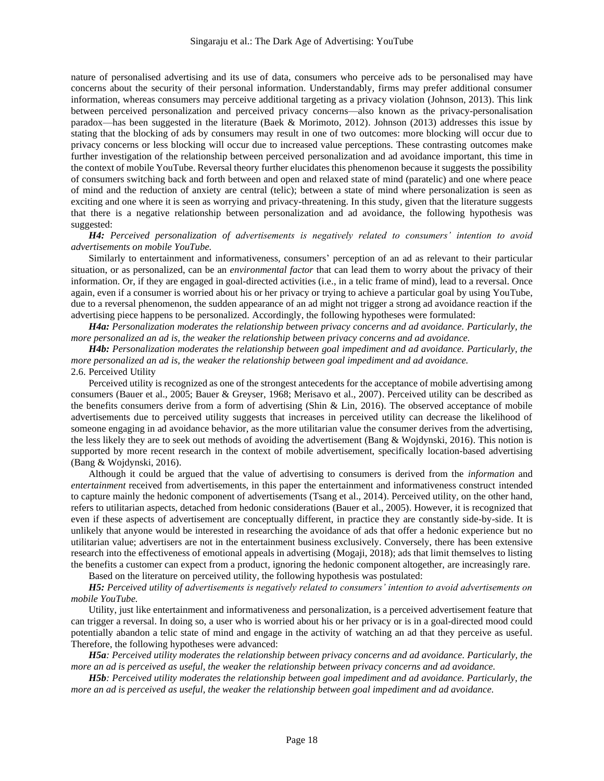nature of personalised advertising and its use of data, consumers who perceive ads to be personalised may have concerns about the security of their personal information. Understandably, firms may prefer additional consumer information, whereas consumers may perceive additional targeting as a privacy violation (Johnson, 2013). This link between perceived personalization and perceived privacy concerns—also known as the privacy-personalisation paradox—has been suggested in the literature (Baek & Morimoto, 2012). Johnson (2013) addresses this issue by stating that the blocking of ads by consumers may result in one of two outcomes: more blocking will occur due to privacy concerns or less blocking will occur due to increased value perceptions. These contrasting outcomes make further investigation of the relationship between perceived personalization and ad avoidance important, this time in the context of mobile YouTube. Reversal theory further elucidates this phenomenon because it suggests the possibility of consumers switching back and forth between and open and relaxed state of mind (paratelic) and one where peace of mind and the reduction of anxiety are central (telic); between a state of mind where personalization is seen as exciting and one where it is seen as worrying and privacy-threatening. In this study, given that the literature suggests that there is a negative relationship between personalization and ad avoidance, the following hypothesis was suggested:

*H4: Perceived personalization of advertisements is negatively related to consumers' intention to avoid advertisements on mobile YouTube.* 

Similarly to entertainment and informativeness, consumers' perception of an ad as relevant to their particular situation, or as personalized, can be an *environmental factor* that can lead them to worry about the privacy of their information. Or, if they are engaged in goal-directed activities (i.e., in a telic frame of mind), lead to a reversal. Once again, even if a consumer is worried about his or her privacy or trying to achieve a particular goal by using YouTube, due to a reversal phenomenon, the sudden appearance of an ad might not trigger a strong ad avoidance reaction if the advertising piece happens to be personalized. Accordingly, the following hypotheses were formulated:

*H4a: Personalization moderates the relationship between privacy concerns and ad avoidance. Particularly, the more personalized an ad is, the weaker the relationship between privacy concerns and ad avoidance.* 

*H4b: Personalization moderates the relationship between goal impediment and ad avoidance. Particularly, the more personalized an ad is, the weaker the relationship between goal impediment and ad avoidance.* 2.6. Perceived Utility

Perceived utility is recognized as one of the strongest antecedents for the acceptance of mobile advertising among consumers (Bauer et al., 2005; Bauer & Greyser, 1968; Merisavo et al., 2007). Perceived utility can be described as the benefits consumers derive from a form of advertising (Shin & Lin, 2016). The observed acceptance of mobile advertisements due to perceived utility suggests that increases in perceived utility can decrease the likelihood of someone engaging in ad avoidance behavior, as the more utilitarian value the consumer derives from the advertising, the less likely they are to seek out methods of avoiding the advertisement (Bang & Wojdynski, 2016). This notion is supported by more recent research in the context of mobile advertisement, specifically location-based advertising (Bang & Wojdynski, 2016).

Although it could be argued that the value of advertising to consumers is derived from the *information* and *entertainment* received from advertisements, in this paper the entertainment and informativeness construct intended to capture mainly the hedonic component of advertisements (Tsang et al., 2014). Perceived utility, on the other hand, refers to utilitarian aspects, detached from hedonic considerations (Bauer et al., 2005). However, it is recognized that even if these aspects of advertisement are conceptually different, in practice they are constantly side-by-side. It is unlikely that anyone would be interested in researching the avoidance of ads that offer a hedonic experience but no utilitarian value; advertisers are not in the entertainment business exclusively. Conversely, there has been extensive research into the effectiveness of emotional appeals in advertising (Mogaji, 2018); ads that limit themselves to listing the benefits a customer can expect from a product, ignoring the hedonic component altogether, are increasingly rare.

Based on the literature on perceived utility, the following hypothesis was postulated:

*H5: Perceived utility of advertisements is negatively related to consumers' intention to avoid advertisements on mobile YouTube.*

Utility, just like entertainment and informativeness and personalization, is a perceived advertisement feature that can trigger a reversal. In doing so, a user who is worried about his or her privacy or is in a goal-directed mood could potentially abandon a telic state of mind and engage in the activity of watching an ad that they perceive as useful. Therefore, the following hypotheses were advanced:

*H5a: Perceived utility moderates the relationship between privacy concerns and ad avoidance. Particularly, the more an ad is perceived as useful, the weaker the relationship between privacy concerns and ad avoidance.*

*H5b: Perceived utility moderates the relationship between goal impediment and ad avoidance. Particularly, the more an ad is perceived as useful, the weaker the relationship between goal impediment and ad avoidance.*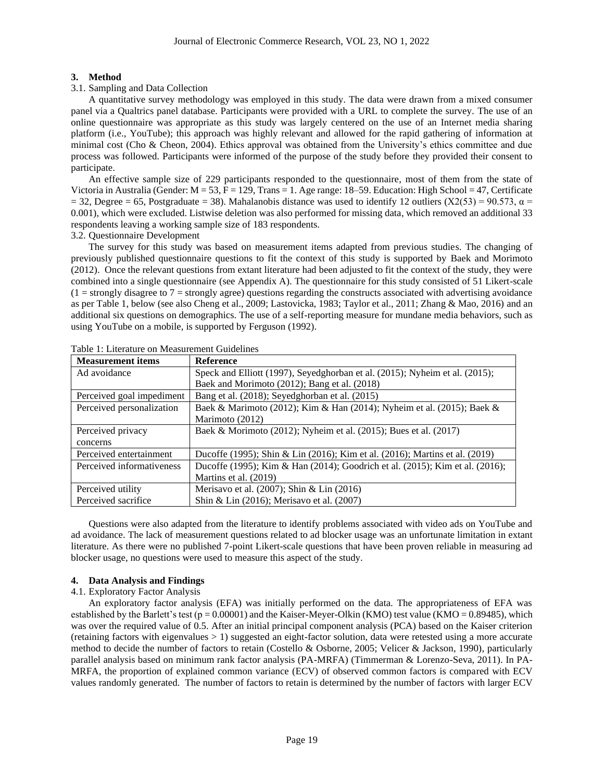### **3. Method**

### 3.1. Sampling and Data Collection

A quantitative survey methodology was employed in this study. The data were drawn from a mixed consumer panel via a Qualtrics panel database. Participants were provided with a URL to complete the survey. The use of an online questionnaire was appropriate as this study was largely centered on the use of an Internet media sharing platform (i.e., YouTube); this approach was highly relevant and allowed for the rapid gathering of information at minimal cost (Cho & Cheon, 2004). Ethics approval was obtained from the University's ethics committee and due process was followed. Participants were informed of the purpose of the study before they provided their consent to participate.

An effective sample size of 229 participants responded to the questionnaire, most of them from the state of Victoria in Australia (Gender:  $M = 53$ ,  $F = 129$ , Trans = 1. Age range: 18–59. Education: High School = 47, Certificate  $= 32$ , Degree = 65, Postgraduate = 38). Mahalanobis distance was used to identify 12 outliers (X2(53) = 90.573,  $\alpha$  = 0.001), which were excluded. Listwise deletion was also performed for missing data, which removed an additional 33 respondents leaving a working sample size of 183 respondents.

3.2. Questionnaire Development

The survey for this study was based on measurement items adapted from previous studies. The changing of previously published questionnaire questions to fit the context of this study is supported by Baek and Morimoto (2012). Once the relevant questions from extant literature had been adjusted to fit the context of the study, they were combined into a single questionnaire (see Appendix A). The questionnaire for this study consisted of 51 Likert-scale  $(1 =$  strongly disagree to  $7 =$  strongly agree) questions regarding the constructs associated with advertising avoidance as per Table 1, below (see also Cheng et al., 2009; Lastovicka, 1983; Taylor et al., 2011; Zhang & Mao, 2016) and an additional six questions on demographics. The use of a self-reporting measure for mundane media behaviors, such as using YouTube on a mobile, is supported by Ferguson (1992).

| <b>Measurement items</b>  | <b>Reference</b>                                                             |
|---------------------------|------------------------------------------------------------------------------|
| Ad avoidance              | Speck and Elliott (1997), Seyedghorban et al. (2015); Nyheim et al. (2015);  |
|                           | Baek and Morimoto (2012); Bang et al. (2018)                                 |
| Perceived goal impediment | Bang et al. (2018); Seyedghorban et al. (2015)                               |
| Perceived personalization | Baek & Marimoto (2012); Kim & Han (2014); Nyheim et al. (2015); Baek &       |
|                           | Marimoto (2012)                                                              |
| Perceived privacy         | Baek & Morimoto (2012); Nyheim et al. (2015); Bues et al. (2017)             |
| concerns                  |                                                                              |
| Perceived entertainment   | Ducoffe (1995); Shin & Lin (2016); Kim et al. (2016); Martins et al. (2019)  |
| Perceived informativeness | Ducoffe (1995); Kim & Han (2014); Goodrich et al. (2015); Kim et al. (2016); |
|                           | Martins et al. (2019)                                                        |
| Perceived utility         | Merisavo et al. (2007); Shin & Lin (2016)                                    |
| Perceived sacrifice       | Shin & Lin (2016); Merisavo et al. (2007)                                    |

Table 1: Literature on Measurement Guidelines

Questions were also adapted from the literature to identify problems associated with video ads on YouTube and ad avoidance. The lack of measurement questions related to ad blocker usage was an unfortunate limitation in extant literature. As there were no published 7-point Likert-scale questions that have been proven reliable in measuring ad blocker usage, no questions were used to measure this aspect of the study.

# **4. Data Analysis and Findings**

### 4.1. Exploratory Factor Analysis

An exploratory factor analysis (EFA) was initially performed on the data. The appropriateness of EFA was established by the Barlett's test ( $p = 0.00001$ ) and the Kaiser-Meyer-Olkin (KMO) test value (KMO = 0.89485), which was over the required value of 0.5. After an initial principal component analysis (PCA) based on the Kaiser criterion (retaining factors with eigenvalues  $> 1$ ) suggested an eight-factor solution, data were retested using a more accurate method to decide the number of factors to retain (Costello & Osborne, 2005; Velicer & Jackson, 1990), particularly parallel analysis based on minimum rank factor analysis (PA-MRFA) (Timmerman & Lorenzo-Seva, 2011). In PA-MRFA, the proportion of explained common variance (ECV) of observed common factors is compared with ECV values randomly generated. The number of factors to retain is determined by the number of factors with larger ECV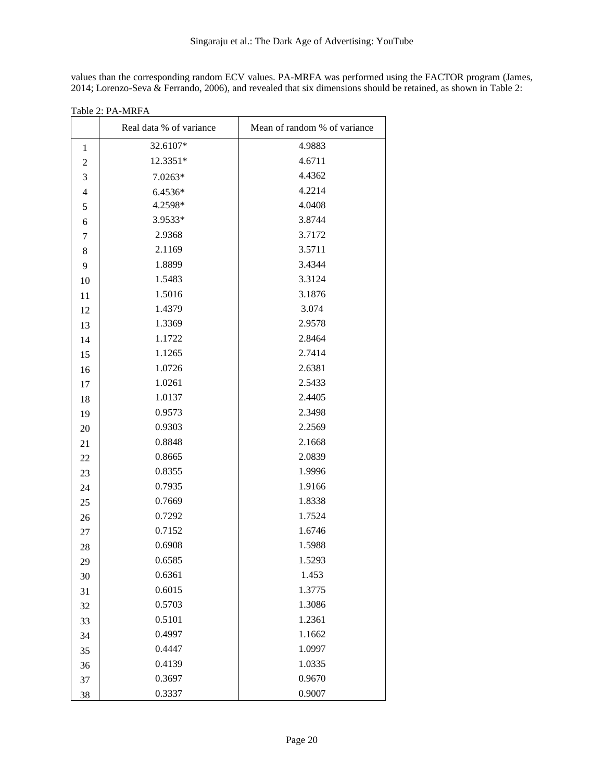values than the corresponding random ECV values. PA-MRFA was performed using the FACTOR program (James, 2014; Lorenzo-Seva & Ferrando, 2006), and revealed that six dimensions should be retained, as shown in Table 2:

|                | Real data % of variance | Mean of random % of variance |  |  |
|----------------|-------------------------|------------------------------|--|--|
| 1              | 32.6107*                | 4.9883                       |  |  |
| $\overline{c}$ | 12.3351*                | 4.6711                       |  |  |
| 3              | $7.0263*$               | 4.4362                       |  |  |
| 4              | 6.4536*                 | 4.2214                       |  |  |
| 5              | 4.2598*                 | 4.0408                       |  |  |
| 6              | 3.9533*                 | 3.8744                       |  |  |
| 7              | 2.9368                  | 3.7172                       |  |  |
| 8              | 2.1169                  | 3.5711                       |  |  |
| 9              | 1.8899                  | 3.4344                       |  |  |
| 10             | 1.5483                  | 3.3124                       |  |  |
| 11             | 1.5016                  | 3.1876                       |  |  |
| 12             | 1.4379                  | 3.074                        |  |  |
| 13             | 1.3369                  | 2.9578                       |  |  |
| 14             | 1.1722                  | 2.8464                       |  |  |
| 15             | 1.1265                  | 2.7414                       |  |  |
| 16             | 1.0726                  | 2.6381                       |  |  |
| 17             | 1.0261                  | 2.5433                       |  |  |
| 18             | 1.0137                  | 2.4405                       |  |  |
| 19             | 0.9573                  | 2.3498                       |  |  |
| 20             | 0.9303                  | 2.2569                       |  |  |
| 21             | 0.8848                  | 2.1668                       |  |  |
| 22             | 0.8665                  | 2.0839                       |  |  |
| 23             | 0.8355                  | 1.9996                       |  |  |
| 24             | 0.7935                  | 1.9166                       |  |  |
| 25             | 0.7669                  | 1.8338                       |  |  |
| 26             | 0.7292                  | 1.7524                       |  |  |
| $27\,$         | 0.7152                  | 1.6746                       |  |  |
| 28             | 0.6908                  | 1.5988                       |  |  |
| 29             | 0.6585                  | 1.5293                       |  |  |
| 30             | 0.6361                  | 1.453                        |  |  |
| 31             | 0.6015                  | 1.3775                       |  |  |
| 32             | 0.5703                  | 1.3086                       |  |  |
| 33             | 0.5101                  | 1.2361                       |  |  |
| 34             | 0.4997                  | 1.1662                       |  |  |
| 35             | 0.4447                  | 1.0997                       |  |  |
| 36             | 0.4139                  | 1.0335                       |  |  |
| 37             | 0.3697                  | 0.9670                       |  |  |
| 38             | 0.3337                  | 0.9007                       |  |  |

Table 2: PA-MRFA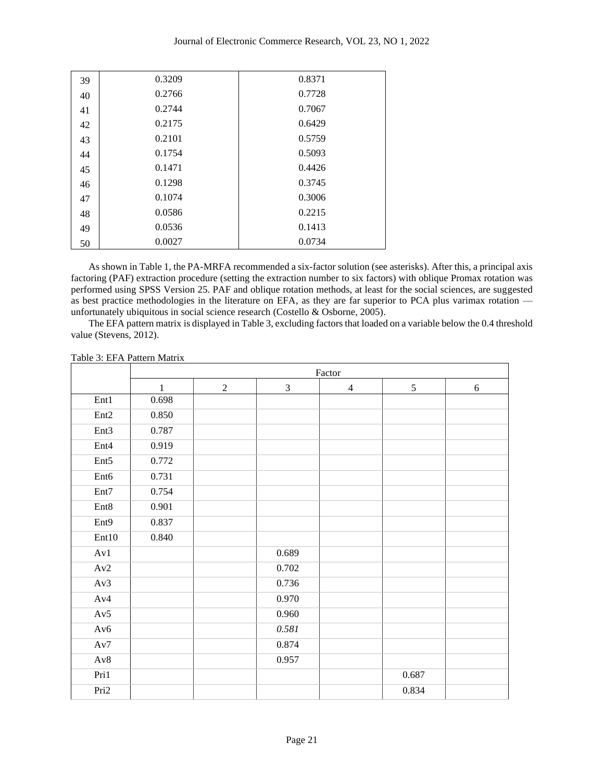| 39 | 0.3209 | 0.8371 |
|----|--------|--------|
| 40 | 0.2766 | 0.7728 |
| 41 | 0.2744 | 0.7067 |
| 42 | 0.2175 | 0.6429 |
| 43 | 0.2101 | 0.5759 |
| 44 | 0.1754 | 0.5093 |
| 45 | 0.1471 | 0.4426 |
| 46 | 0.1298 | 0.3745 |
| 47 | 0.1074 | 0.3006 |
| 48 | 0.0586 | 0.2215 |
| 49 | 0.0536 | 0.1413 |
| 50 | 0.0027 | 0.0734 |

As shown in Table 1, the PA-MRFA recommended a six-factor solution (see asterisks). After this, a principal axis factoring (PAF) extraction procedure (setting the extraction number to six factors) with oblique Promax rotation was performed using SPSS Version 25. PAF and oblique rotation methods, at least for the social sciences, are suggested as best practice methodologies in the literature on EFA, as they are far superior to PCA plus varimax rotation unfortunately ubiquitous in social science research (Costello & Osborne, 2005).

The EFA pattern matrix is displayed in Table 3, excluding factors that loaded on a variable below the 0.4 threshold value (Stevens, 2012).

|                  |              | Factor         |       |                |            |   |  |  |
|------------------|--------------|----------------|-------|----------------|------------|---|--|--|
|                  | $\mathbf{1}$ | $\overline{2}$ | 3     | $\overline{4}$ | $\sqrt{5}$ | 6 |  |  |
| Ent1             | 0.698        |                |       |                |            |   |  |  |
| Ent <sub>2</sub> | 0.850        |                |       |                |            |   |  |  |
| Ent3             | 0.787        |                |       |                |            |   |  |  |
| Ent <sub>4</sub> | 0.919        |                |       |                |            |   |  |  |
| Ent <sub>5</sub> | 0.772        |                |       |                |            |   |  |  |
| Ent6             | 0.731        |                |       |                |            |   |  |  |
| Ent7             | 0.754        |                |       |                |            |   |  |  |
| Ent8             | 0.901        |                |       |                |            |   |  |  |
| Ent9             | 0.837        |                |       |                |            |   |  |  |
| Ent10            | 0.840        |                |       |                |            |   |  |  |
| Av1              |              |                | 0.689 |                |            |   |  |  |
| Av2              |              |                | 0.702 |                |            |   |  |  |
| Av3              |              |                | 0.736 |                |            |   |  |  |
| Av4              |              |                | 0.970 |                |            |   |  |  |
| Av5              |              |                | 0.960 |                |            |   |  |  |
| Av6              |              |                | 0.581 |                |            |   |  |  |
| Av7              |              |                | 0.874 |                |            |   |  |  |
| Av8              |              |                | 0.957 |                |            |   |  |  |
| Pri1             |              |                |       |                | 0.687      |   |  |  |
| Pri2             |              |                |       |                | 0.834      |   |  |  |

Table 3: EFA Pattern Matrix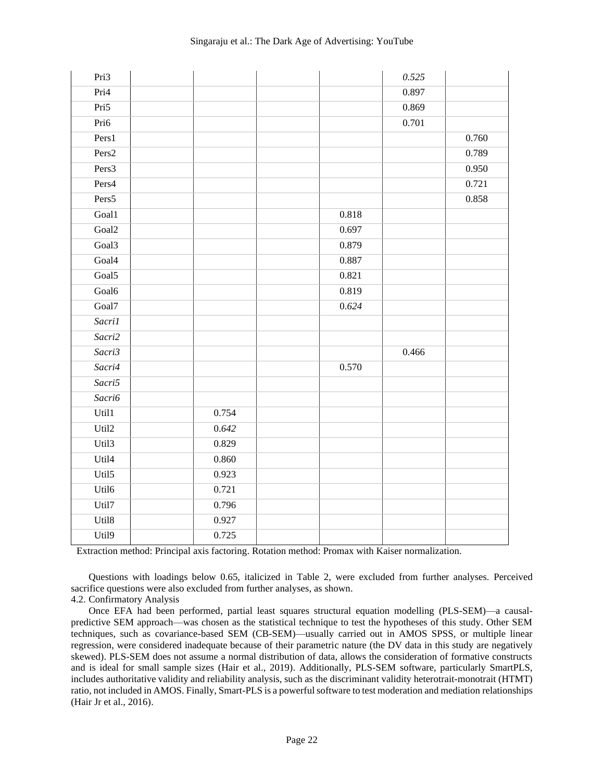| Pri3              |       |       | 0.525 |       |
|-------------------|-------|-------|-------|-------|
| Pri4              |       |       | 0.897 |       |
| Pri5              |       |       | 0.869 |       |
| Pri6              |       |       | 0.701 |       |
| Pers1             |       |       |       | 0.760 |
| Pers <sub>2</sub> |       |       |       | 0.789 |
| Pers3             |       |       |       | 0.950 |
| Pers4             |       |       |       | 0.721 |
| Pers5             |       |       |       | 0.858 |
| Goal1             |       | 0.818 |       |       |
| Goal <sub>2</sub> |       | 0.697 |       |       |
| Goal <sub>3</sub> |       | 0.879 |       |       |
| Goal4             |       | 0.887 |       |       |
| Goal <sub>5</sub> |       | 0.821 |       |       |
| Goal6             |       | 0.819 |       |       |
| Goal7             |       | 0.624 |       |       |
| Sacri1            |       |       |       |       |
| Sacri2            |       |       |       |       |
| Sacri3            |       |       | 0.466 |       |
| Sacri4            |       | 0.570 |       |       |
| Sacri5            |       |       |       |       |
| Sacri6            |       |       |       |       |
| Util1             | 0.754 |       |       |       |
| Util2             | 0.642 |       |       |       |
| Util <sub>3</sub> | 0.829 |       |       |       |
| Util <sub>4</sub> | 0.860 |       |       |       |
| Util5             | 0.923 |       |       |       |
| Util6             | 0.721 |       |       |       |
| Util7             | 0.796 |       |       |       |
| Util8             | 0.927 |       |       |       |
| Util9             | 0.725 |       |       |       |

Extraction method: Principal axis factoring. Rotation method: Promax with Kaiser normalization.

Questions with loadings below 0.65, italicized in Table 2, were excluded from further analyses. Perceived sacrifice questions were also excluded from further analyses, as shown.

4.2. Confirmatory Analysis

Once EFA had been performed, partial least squares structural equation modelling (PLS-SEM)—a causalpredictive SEM approach—was chosen as the statistical technique to test the hypotheses of this study. Other SEM techniques, such as covariance-based SEM (CB-SEM)—usually carried out in AMOS SPSS, or multiple linear regression, were considered inadequate because of their parametric nature (the DV data in this study are negatively skewed). PLS-SEM does not assume a normal distribution of data, allows the consideration of formative constructs and is ideal for small sample sizes (Hair et al., 2019). Additionally, PLS-SEM software, particularly SmartPLS, includes authoritative validity and reliability analysis, such as the discriminant validity heterotrait-monotrait (HTMT) ratio, not included in AMOS. Finally, Smart-PLS is a powerful software to test moderation and mediation relationships (Hair Jr et al., 2016).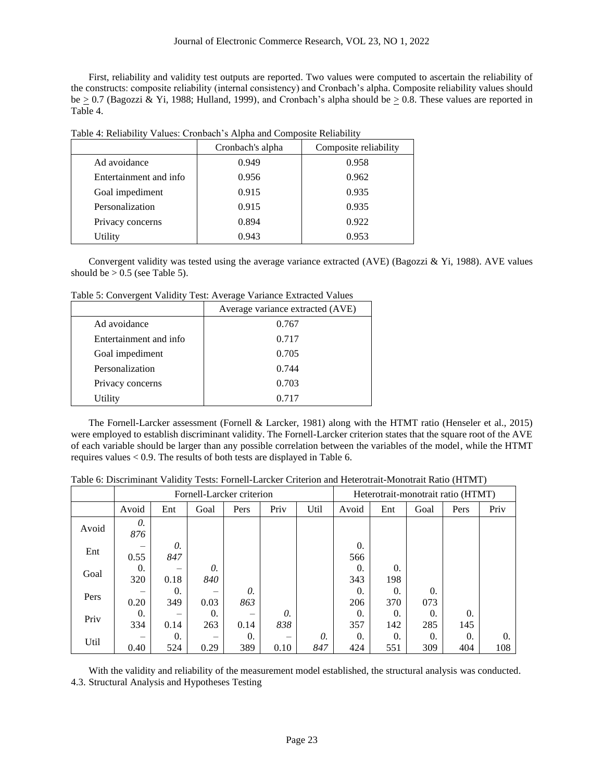First, reliability and validity test outputs are reported. Two values were computed to ascertain the reliability of the constructs: composite reliability (internal consistency) and Cronbach's alpha. Composite reliability values should be  $> 0.7$  (Bagozzi & Yi, 1988; Hulland, 1999), and Cronbach's alpha should be  $> 0.8$ . These values are reported in Table 4.

|                        | Cronbach's alpha | Composite reliability |
|------------------------|------------------|-----------------------|
| Ad avoidance           | 0.949            | 0.958                 |
| Entertainment and info | 0.956            | 0.962                 |
| Goal impediment        | 0.915            | 0.935                 |
| Personalization        | 0.915            | 0.935                 |
| Privacy concerns       | 0.894            | 0.922                 |
| Utility                | 0.943            | 0.953                 |

Table 4: Reliability Values: Cronbach's Alpha and Composite Reliability

Convergent validity was tested using the average variance extracted (AVE) (Bagozzi & Yi, 1988). AVE values should be  $> 0.5$  (see Table 5).

Table 5: Convergent Validity Test: Average Variance Extracted Values

|                        | Average variance extracted (AVE) |
|------------------------|----------------------------------|
| Ad avoidance           | 0.767                            |
| Entertainment and info | 0.717                            |
| Goal impediment        | 0.705                            |
| Personalization        | 0.744                            |
| Privacy concerns       | 0.703                            |
| Utility                | 0.717                            |

The Fornell-Larcker assessment (Fornell & Larcker, 1981) along with the HTMT ratio (Henseler et al., 2015) were employed to establish discriminant validity. The Fornell-Larcker criterion states that the square root of the AVE of each variable should be larger than any possible correlation between the variables of the model, while the HTMT requires values < 0.9. The results of both tests are displayed in Table 6.

Table 6: Discriminant Validity Tests: Fornell-Larcker Criterion and Heterotrait-Monotrait Ratio (HTMT)

|       | Fornell-Larcker criterion |                   |           |           |           |           |           | Heterotrait-monotrait ratio (HTMT) |                   |                   |           |
|-------|---------------------------|-------------------|-----------|-----------|-----------|-----------|-----------|------------------------------------|-------------------|-------------------|-----------|
|       | Avoid                     | Ent               | Goal      | Pers      | Priv      | Util      | Avoid     | Ent                                | Goal              | Pers              | Priv      |
| Avoid | 0.<br>876                 |                   |           |           |           |           |           |                                    |                   |                   |           |
| Ent   | 0.55                      | 0.<br>847         |           |           |           |           | 0.<br>566 |                                    |                   |                   |           |
| Goal  | $\Omega$ .<br>320         | 0.18              | 0.<br>840 |           |           |           | 0.<br>343 | $\Omega$ .<br>198                  |                   |                   |           |
| Pers  | 0.20                      | $\Omega$ .<br>349 | 0.03      | 0.<br>863 |           |           | 0.<br>206 | $\Omega$ .<br>370                  | $\Omega$ .<br>073 |                   |           |
| Priv  | $\Omega$ .<br>334         | 0.14              | 0.<br>263 | 0.14      | 0.<br>838 |           | 0.<br>357 | $\Omega$ .<br>142                  | $\Omega$ .<br>285 | $\Omega$ .<br>145 |           |
| Util  | -<br>0.40                 | 0.<br>524         | 0.29      | 0.<br>389 | –<br>0.10 | 0.<br>847 | 0.<br>424 | $\theta$ .<br>551                  | $\Omega$ .<br>309 | $\Omega$ .<br>404 | 0.<br>108 |

With the validity and reliability of the measurement model established, the structural analysis was conducted. 4.3. Structural Analysis and Hypotheses Testing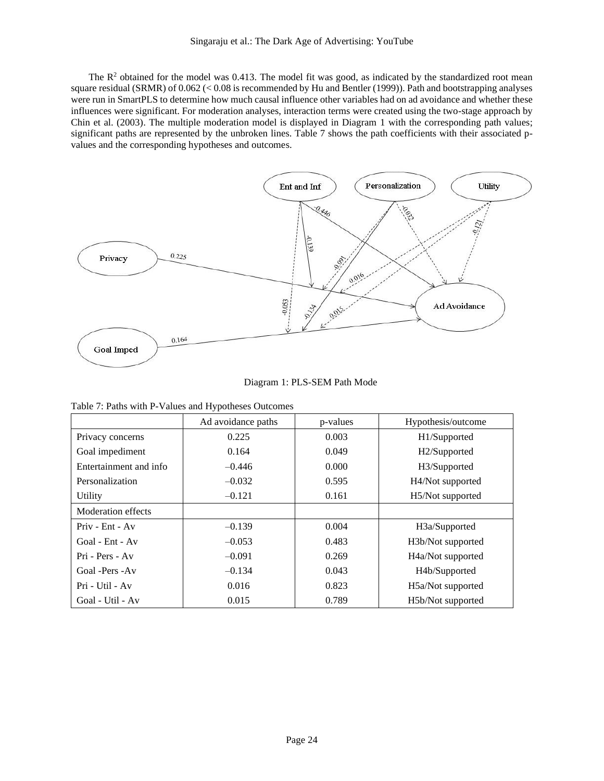The  $R<sup>2</sup>$  obtained for the model was 0.413. The model fit was good, as indicated by the standardized root mean square residual (SRMR) of 0.062 (< 0.08 is recommended by Hu and Bentler (1999)). Path and bootstrapping analyses were run in SmartPLS to determine how much causal influence other variables had on ad avoidance and whether these influences were significant. For moderation analyses, interaction terms were created using the two-stage approach by Chin et al. (2003). The multiple moderation model is displayed in Diagram 1 with the corresponding path values; significant paths are represented by the unbroken lines. Table 7 shows the path coefficients with their associated pvalues and the corresponding hypotheses and outcomes.



Diagram 1: PLS-SEM Path Mode

|  |  |  |  |  |  | Table 7: Paths with P-Values and Hypotheses Outcomes |
|--|--|--|--|--|--|------------------------------------------------------|
|--|--|--|--|--|--|------------------------------------------------------|

|                        | Ad avoidance paths | p-values | Hypothesis/outcome             |
|------------------------|--------------------|----------|--------------------------------|
| Privacy concerns       | 0.225              | 0.003    | H1/Supported                   |
| Goal impediment        | 0.164              | 0.049    | H2/Supported                   |
| Entertainment and info | $-0.446$           | 0.000    | H3/Supported                   |
| Personalization        | $-0.032$           | 0.595    | H4/Not supported               |
| Utility                | $-0.121$           | 0.161    | H5/Not supported               |
| Moderation effects     |                    |          |                                |
| $Priv - Ent - Av$      | $-0.139$           | 0.004    | H <sub>3</sub> a/Supported     |
| Goal - $Ent - Av$      | $-0.053$           | 0.483    | H3b/Not supported              |
| Pri - Pers - Av        | $-0.091$           | 0.269    | H <sub>4</sub> a/Not supported |
| Goal - Pers - Av       | $-0.134$           | 0.043    | H4b/Supported                  |
| Pri - Util - Av        | 0.016              | 0.823    | H5a/Not supported              |
| Goal - Util - Av       | 0.015              | 0.789    | H5b/Not supported              |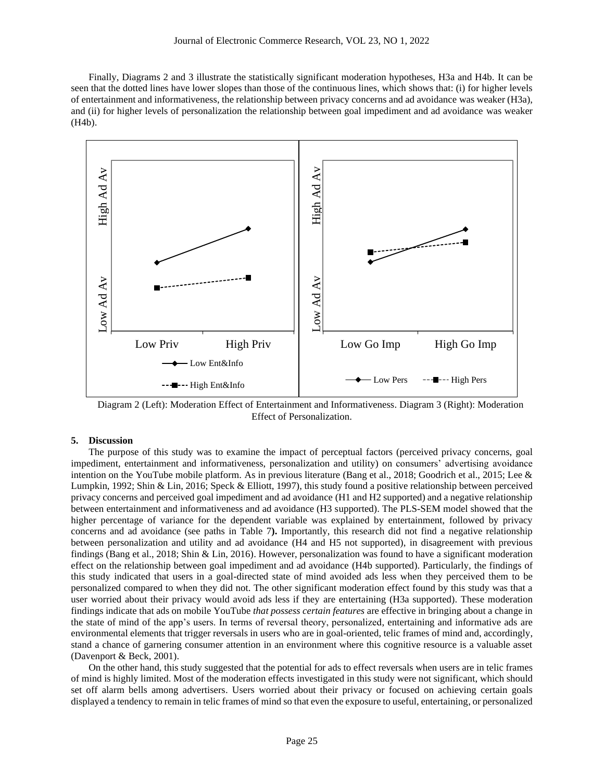Finally, Diagrams 2 and 3 illustrate the statistically significant moderation hypotheses, H3a and H4b. It can be seen that the dotted lines have lower slopes than those of the continuous lines, which shows that: (i) for higher levels of entertainment and informativeness, the relationship between privacy concerns and ad avoidance was weaker (H3a), and (ii) for higher levels of personalization the relationship between goal impediment and ad avoidance was weaker (H4b).



Diagram 2 (Left): Moderation Effect of Entertainment and Informativeness. Diagram 3 (Right): Moderation Effect of Personalization.

# **5. Discussion**

The purpose of this study was to examine the impact of perceptual factors (perceived privacy concerns, goal impediment, entertainment and informativeness, personalization and utility) on consumers' advertising avoidance intention on the YouTube mobile platform. As in previous literature (Bang et al., 2018; Goodrich et al., 2015; Lee & Lumpkin, 1992; Shin & Lin, 2016; Speck & Elliott, 1997), this study found a positive relationship between perceived privacy concerns and perceived goal impediment and ad avoidance (H1 and H2 supported) and a negative relationship between entertainment and informativeness and ad avoidance (H3 supported). The PLS-SEM model showed that the higher percentage of variance for the dependent variable was explained by entertainment, followed by privacy concerns and ad avoidance (see paths in Table 7**).** Importantly, this research did not find a negative relationship between personalization and utility and ad avoidance (H4 and H5 not supported), in disagreement with previous findings (Bang et al., 2018; Shin & Lin, 2016). However, personalization was found to have a significant moderation effect on the relationship between goal impediment and ad avoidance (H4b supported). Particularly, the findings of this study indicated that users in a goal-directed state of mind avoided ads less when they perceived them to be personalized compared to when they did not. The other significant moderation effect found by this study was that a user worried about their privacy would avoid ads less if they are entertaining (H3a supported). These moderation findings indicate that ads on mobile YouTube *that possess certain features* are effective in bringing about a change in the state of mind of the app's users. In terms of reversal theory, personalized, entertaining and informative ads are environmental elements that trigger reversals in users who are in goal-oriented, telic frames of mind and, accordingly, stand a chance of garnering consumer attention in an environment where this cognitive resource is a valuable asset (Davenport & Beck, 2001).

On the other hand, this study suggested that the potential for ads to effect reversals when users are in telic frames of mind is highly limited. Most of the moderation effects investigated in this study were not significant, which should set off alarm bells among advertisers. Users worried about their privacy or focused on achieving certain goals displayed a tendency to remain in telic frames of mind so that even the exposure to useful, entertaining, or personalized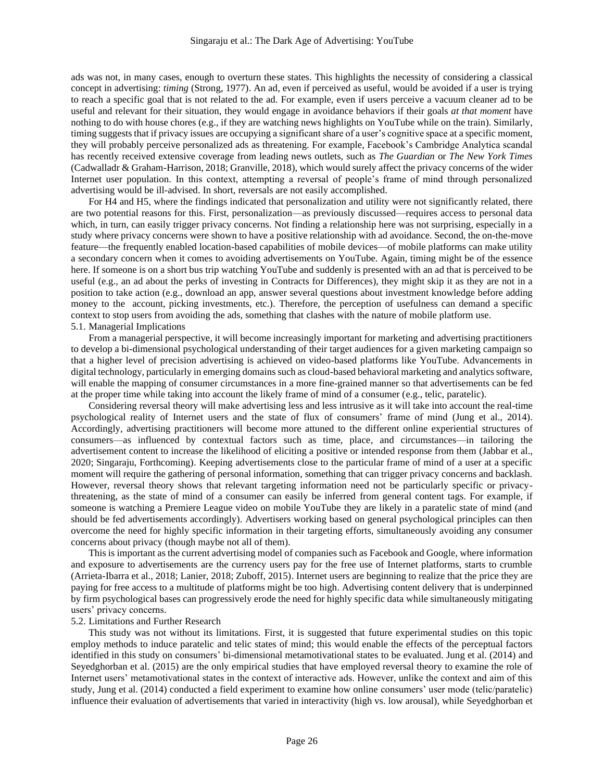ads was not, in many cases, enough to overturn these states. This highlights the necessity of considering a classical concept in advertising: *timing* (Strong, 1977). An ad, even if perceived as useful, would be avoided if a user is trying to reach a specific goal that is not related to the ad. For example, even if users perceive a vacuum cleaner ad to be useful and relevant for their situation, they would engage in avoidance behaviors if their goals *at that moment* have nothing to do with house chores (e.g., if they are watching news highlights on YouTube while on the train). Similarly, timing suggests that if privacy issues are occupying a significant share of a user's cognitive space at a specific moment, they will probably perceive personalized ads as threatening. For example, Facebook's Cambridge Analytica scandal has recently received extensive coverage from leading news outlets, such as *The Guardian* or *The New York Times* (Cadwalladr & Graham-Harrison, 2018; Granville, 2018), which would surely affect the privacy concerns of the wider Internet user population. In this context, attempting a reversal of people's frame of mind through personalized advertising would be ill-advised. In short, reversals are not easily accomplished.

For H4 and H5, where the findings indicated that personalization and utility were not significantly related, there are two potential reasons for this. First, personalization—as previously discussed—requires access to personal data which, in turn, can easily trigger privacy concerns. Not finding a relationship here was not surprising, especially in a study where privacy concerns were shown to have a positive relationship with ad avoidance. Second, the on-the-move feature—the frequently enabled location-based capabilities of mobile devices—of mobile platforms can make utility a secondary concern when it comes to avoiding advertisements on YouTube. Again, timing might be of the essence here. If someone is on a short bus trip watching YouTube and suddenly is presented with an ad that is perceived to be useful (e.g., an ad about the perks of investing in Contracts for Differences), they might skip it as they are not in a position to take action (e.g., download an app, answer several questions about investment knowledge before adding money to the account, picking investments, etc.). Therefore, the perception of usefulness can demand a specific context to stop users from avoiding the ads, something that clashes with the nature of mobile platform use. 5.1. Managerial Implications

From a managerial perspective, it will become increasingly important for marketing and advertising practitioners to develop a bi-dimensional psychological understanding of their target audiences for a given marketing campaign so that a higher level of precision advertising is achieved on video-based platforms like YouTube. Advancements in digital technology, particularly in emerging domains such as cloud-based behavioral marketing and analytics software, will enable the mapping of consumer circumstances in a more fine-grained manner so that advertisements can be fed at the proper time while taking into account the likely frame of mind of a consumer (e.g., telic, paratelic).

Considering reversal theory will make advertising less and less intrusive as it will take into account the real-time psychological reality of Internet users and the state of flux of consumers' frame of mind (Jung et al., 2014). Accordingly, advertising practitioners will become more attuned to the different online experiential structures of consumers—as influenced by contextual factors such as time, place, and circumstances—in tailoring the advertisement content to increase the likelihood of eliciting a positive or intended response from them (Jabbar et al., 2020; Singaraju, Forthcoming). Keeping advertisements close to the particular frame of mind of a user at a specific moment will require the gathering of personal information, something that can trigger privacy concerns and backlash. However, reversal theory shows that relevant targeting information need not be particularly specific or privacythreatening, as the state of mind of a consumer can easily be inferred from general content tags. For example, if someone is watching a Premiere League video on mobile YouTube they are likely in a paratelic state of mind (and should be fed advertisements accordingly). Advertisers working based on general psychological principles can then overcome the need for highly specific information in their targeting efforts, simultaneously avoiding any consumer concerns about privacy (though maybe not all of them).

This is important as the current advertising model of companies such as Facebook and Google, where information and exposure to advertisements are the currency users pay for the free use of Internet platforms, starts to crumble (Arrieta-Ibarra et al., 2018; Lanier, 2018; Zuboff, 2015). Internet users are beginning to realize that the price they are paying for free access to a multitude of platforms might be too high. Advertising content delivery that is underpinned by firm psychological bases can progressively erode the need for highly specific data while simultaneously mitigating users' privacy concerns.

### 5.2. Limitations and Further Research

This study was not without its limitations. First, it is suggested that future experimental studies on this topic employ methods to induce paratelic and telic states of mind; this would enable the effects of the perceptual factors identified in this study on consumers' bi-dimensional metamotivational states to be evaluated. Jung et al. (2014) and Seyedghorban et al. (2015) are the only empirical studies that have employed reversal theory to examine the role of Internet users' metamotivational states in the context of interactive ads. However, unlike the context and aim of this study, Jung et al. (2014) conducted a field experiment to examine how online consumers' user mode (telic/paratelic) influence their evaluation of advertisements that varied in interactivity (high vs. low arousal), while Seyedghorban et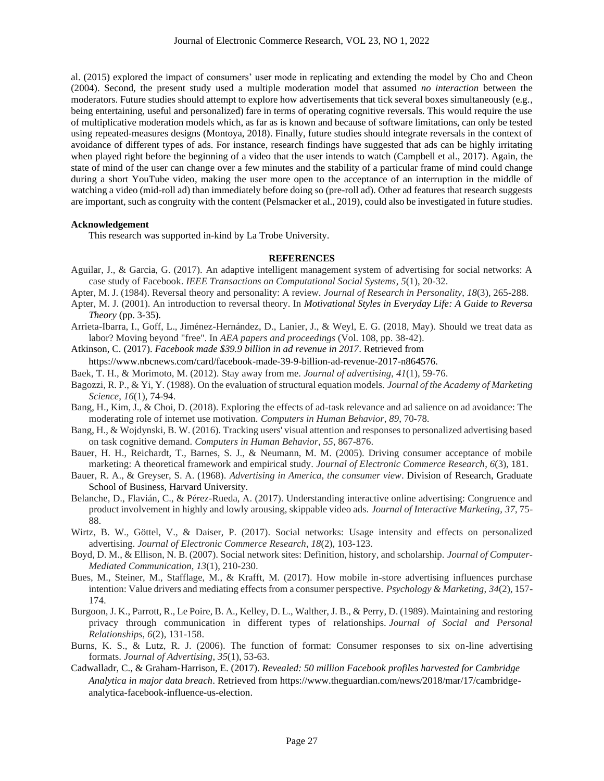al. (2015) explored the impact of consumers' user mode in replicating and extending the model by Cho and Cheon (2004). Second, the present study used a multiple moderation model that assumed *no interaction* between the moderators. Future studies should attempt to explore how advertisements that tick several boxes simultaneously (e.g., being entertaining, useful and personalized) fare in terms of operating cognitive reversals. This would require the use of multiplicative moderation models which, as far as is known and because of software limitations, can only be tested using repeated-measures designs (Montoya, 2018). Finally, future studies should integrate reversals in the context of avoidance of different types of ads. For instance, research findings have suggested that ads can be highly irritating when played right before the beginning of a video that the user intends to watch (Campbell et al., 2017). Again, the state of mind of the user can change over a few minutes and the stability of a particular frame of mind could change during a short YouTube video, making the user more open to the acceptance of an interruption in the middle of watching a video (mid-roll ad) than immediately before doing so (pre-roll ad). Other ad features that research suggests are important, such as congruity with the content (Pelsmacker et al., 2019), could also be investigated in future studies.

### **Acknowledgement**

This research was supported in-kind by La Trobe University.

### **REFERENCES**

- Aguilar, J., & Garcia, G. (2017). An adaptive intelligent management system of advertising for social networks: A case study of Facebook. *IEEE Transactions on Computational Social Systems*, *5*(1), 20-32.
- Apter, M. J. (1984). Reversal theory and personality: A review. *Journal of Research in Personality*, *18*(3), 265-288.
- Apter, M. J. (2001). An introduction to reversal theory. In *Motivational Styles in Everyday Life: A Guide to Reversa Theory* (pp. 3-35)*.*
- Arrieta-Ibarra, I., Goff, L., Jiménez-Hernández, D., Lanier, J., & Weyl, E. G. (2018, May). Should we treat data as labor? Moving beyond "free". In *AEA papers and proceedings* (Vol. 108, pp. 38-42).
- Atkinson, C. (2017). *Facebook made \$39.9 billion in ad revenue in 2017*. Retrieved from
- https://www.nbcnews.com/card/facebook-made-39-9-billion-ad-revenue-2017-n864576.
- Baek, T. H., & Morimoto, M. (2012). Stay away from me. *Journal of advertising*, *41*(1), 59-76.
- Bagozzi, R. P., & Yi, Y. (1988). On the evaluation of structural equation models. *Journal of the Academy of Marketing Science*, *16*(1), 74-94.
- Bang, H., Kim, J., & Choi, D. (2018). Exploring the effects of ad-task relevance and ad salience on ad avoidance: The moderating role of internet use motivation. *Computers in Human Behavior*, *89*, 70-78.
- Bang, H., & Wojdynski, B. W. (2016). Tracking users' visual attention and responses to personalized advertising based on task cognitive demand. *Computers in Human Behavior*, *55*, 867-876.
- Bauer, H. H., Reichardt, T., Barnes, S. J., & Neumann, M. M. (2005). Driving consumer acceptance of mobile marketing: A theoretical framework and empirical study. *Journal of Electronic Commerce Research*, *6*(3), 181.
- Bauer, R. A., & Greyser, S. A. (1968). *Advertising in America, the consumer view*. Division of Research, Graduate School of Business, Harvard University.
- Belanche, D., Flavián, C., & Pérez-Rueda, A. (2017). Understanding interactive online advertising: Congruence and product involvement in highly and lowly arousing, skippable video ads. *Journal of Interactive Marketing*, *37*, 75- 88.
- Wirtz, B. W., Göttel, V., & Daiser, P. (2017). Social networks: Usage intensity and effects on personalized advertising. *Journal of Electronic Commerce Research*, *18*(2), 103-123.
- Boyd, D. M., & Ellison, N. B. (2007). Social network sites: Definition, history, and scholarship. *Journal of Computer‐ Mediated Communication*, *13*(1), 210-230.
- Bues, M., Steiner, M., Stafflage, M., & Krafft, M. (2017). How mobile in-store advertising influences purchase intention: Value drivers and mediating effects from a consumer perspective. *Psychology & Marketing*, *34*(2), 157- 174.
- Burgoon, J. K., Parrott, R., Le Poire, B. A., Kelley, D. L., Walther, J. B., & Perry, D. (1989). Maintaining and restoring privacy through communication in different types of relationships. *Journal of Social and Personal Relationships*, *6*(2), 131-158.
- Burns, K. S., & Lutz, R. J. (2006). The function of format: Consumer responses to six on-line advertising formats. *Journal of Advertising*, *35*(1), 53-63.
- Cadwalladr, C., & Graham-Harrison, E. (2017). *Revealed: 50 million Facebook profiles harvested for Cambridge Analytica in major data breach*. Retrieved from https://www.theguardian.com/news/2018/mar/17/cambridgeanalytica-facebook-influence-us-election.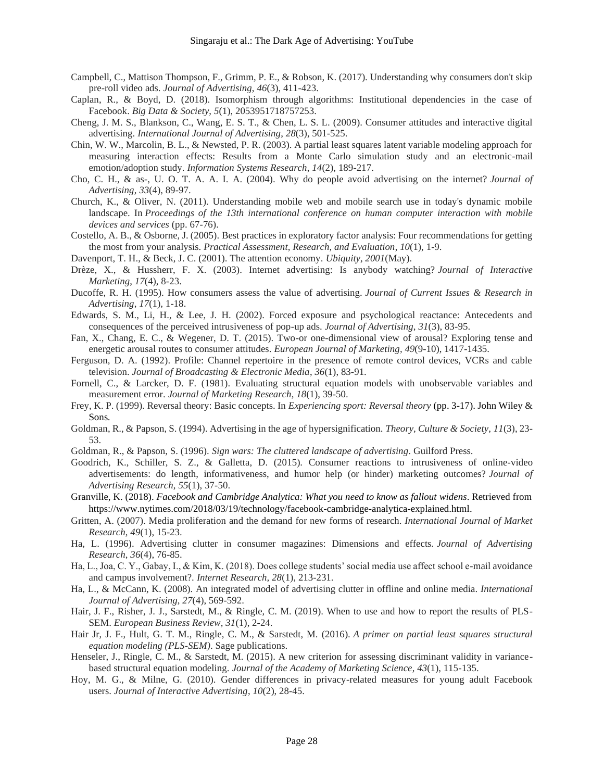- Campbell, C., Mattison Thompson, F., Grimm, P. E., & Robson, K. (2017). Understanding why consumers don't skip pre-roll video ads. *Journal of Advertising*, *46*(3), 411-423.
- Caplan, R., & Boyd, D. (2018). Isomorphism through algorithms: Institutional dependencies in the case of Facebook. *Big Data & Society*, *5*(1), 2053951718757253.
- Cheng, J. M. S., Blankson, C., Wang, E. S. T., & Chen, L. S. L. (2009). Consumer attitudes and interactive digital advertising. *International Journal of Advertising*, *28*(3), 501-525.
- Chin, W. W., Marcolin, B. L., & Newsted, P. R. (2003). A partial least squares latent variable modeling approach for measuring interaction effects: Results from a Monte Carlo simulation study and an electronic-mail emotion/adoption study. *Information Systems Research*, *14*(2), 189-217.
- Cho, C. H., & as-, U. O. T. A. A. I. A. (2004). Why do people avoid advertising on the internet? *Journal of Advertising*, *33*(4), 89-97.
- Church, K., & Oliver, N. (2011). Understanding mobile web and mobile search use in today's dynamic mobile landscape. In *Proceedings of the 13th international conference on human computer interaction with mobile devices and services* (pp. 67-76).
- Costello, A. B., & Osborne, J. (2005). Best practices in exploratory factor analysis: Four recommendations for getting the most from your analysis. *Practical Assessment, Research, and Evaluation*, *10*(1), 1-9.
- Davenport, T. H., & Beck, J. C. (2001). The attention economy. *Ubiquity*, *2001*(May).
- Drèze, X., & Hussherr, F. X. (2003). Internet advertising: Is anybody watching? *Journal of Interactive Marketing*, *17*(4), 8-23.
- Ducoffe, R. H. (1995). How consumers assess the value of advertising. *Journal of Current Issues & Research in Advertising*, *17*(1), 1-18.
- Edwards, S. M., Li, H., & Lee, J. H. (2002). Forced exposure and psychological reactance: Antecedents and consequences of the perceived intrusiveness of pop-up ads. *Journal of Advertising*, *31*(3), 83-95.
- Fan, X., Chang, E. C., & Wegener, D. T. (2015). Two-or one-dimensional view of arousal? Exploring tense and energetic arousal routes to consumer attitudes. *European Journal of Marketing, 49*(9-10), 1417-1435.
- Ferguson, D. A. (1992). Profile: Channel repertoire in the presence of remote control devices, VCRs and cable television. *Journal of Broadcasting & Electronic Media*, *36*(1), 83-91.
- Fornell, C., & Larcker, D. F. (1981). Evaluating structural equation models with unobservable variables and measurement error. *Journal of Marketing Research*, *18*(1), 39-50.
- Frey, K. P. (1999). Reversal theory: Basic concepts. In *Experiencing sport: Reversal theory* (pp. 3-17). John Wiley & Sons*.*
- Goldman, R., & Papson, S. (1994). Advertising in the age of hypersignification. *Theory, Culture & Society*, *11*(3), 23- 53.
- Goldman, R., & Papson, S. (1996). *Sign wars: The cluttered landscape of advertising*. Guilford Press.
- Goodrich, K., Schiller, S. Z., & Galletta, D. (2015). Consumer reactions to intrusiveness of online-video advertisements: do length, informativeness, and humor help (or hinder) marketing outcomes? *Journal of Advertising Research*, *55*(1), 37-50.
- Granville, K. (2018). *Facebook and Cambridge Analytica: What you need to know as fallout widens*. Retrieved from https://www.nytimes.com/2018/03/19/technology/facebook-cambridge-analytica-explained.html.
- Gritten, A. (2007). Media proliferation and the demand for new forms of research. *International Journal of Market Research*, *49*(1), 15-23.
- Ha, L. (1996). Advertising clutter in consumer magazines: Dimensions and effects. *Journal of Advertising Research*, *36*(4), 76-85.
- Ha, L., Joa, C. Y., Gabay, I., & Kim, K. (2018). Does college students' social media use affect school e-mail avoidance and campus involvement?. *Internet Research, 28*(1), 213-231.
- Ha, L., & McCann, K. (2008). An integrated model of advertising clutter in offline and online media. *International Journal of Advertising*, *27*(4), 569-592.
- Hair, J. F., Risher, J. J., Sarstedt, M., & Ringle, C. M. (2019). When to use and how to report the results of PLS-SEM. *European Business Review, 31*(1), 2-24.
- Hair Jr, J. F., Hult, G. T. M., Ringle, C. M., & Sarstedt, M. (2016). *A primer on partial least squares structural equation modeling (PLS-SEM)*. Sage publications.
- Henseler, J., Ringle, C. M., & Sarstedt, M. (2015). A new criterion for assessing discriminant validity in variancebased structural equation modeling. *Journal of the Academy of Marketing Science*, *43*(1), 115-135.
- Hoy, M. G., & Milne, G. (2010). Gender differences in privacy-related measures for young adult Facebook users. *Journal of Interactive Advertising*, *10*(2), 28-45.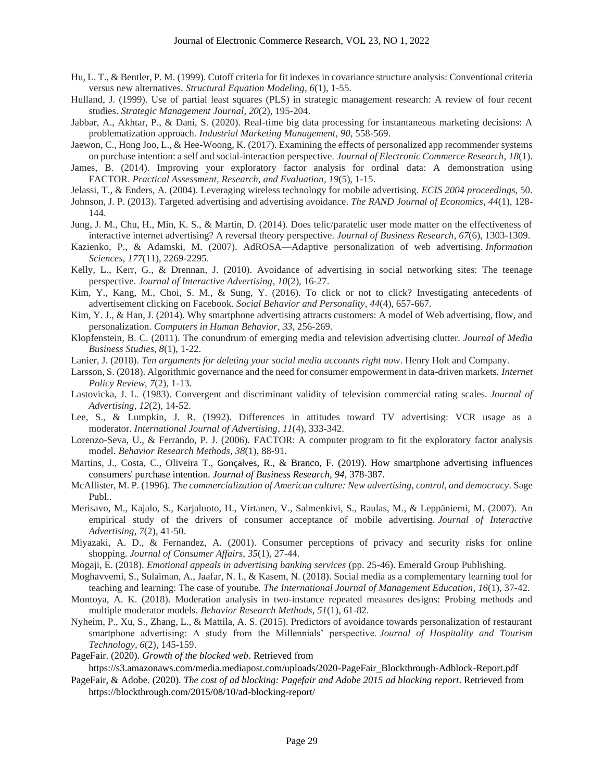- Hu, L. T., & Bentler, P. M. (1999). Cutoff criteria for fit indexes in covariance structure analysis: Conventional criteria versus new alternatives. *Structural Equation Modeling*, *6*(1), 1-55.
- Hulland, J. (1999). Use of partial least squares (PLS) in strategic management research: A review of four recent studies. *Strategic Management Journal*, *20*(2), 195-204.
- Jabbar, A., Akhtar, P., & Dani, S. (2020). Real-time big data processing for instantaneous marketing decisions: A problematization approach. *Industrial Marketing Management*, *90*, 558-569.
- Jaewon, C., Hong Joo, L., & Hee-Woong, K. (2017). Examining the effects of personalized app recommender systems on purchase intention: a self and social-interaction perspective. *Journal of Electronic Commerce Research*, *18*(1).
- James, B. (2014). Improving your exploratory factor analysis for ordinal data: A demonstration using FACTOR. *Practical Assessment, Research, and Evaluation*, *19*(5), 1-15.
- Jelassi, T., & Enders, A. (2004). Leveraging wireless technology for mobile advertising. *ECIS 2004 proceedings*, 50.
- Johnson, J. P. (2013). Targeted advertising and advertising avoidance. *The RAND Journal of Economics*, *44*(1), 128- 144.
- Jung, J. M., Chu, H., Min, K. S., & Martin, D. (2014). Does telic/paratelic user mode matter on the effectiveness of interactive internet advertising? A reversal theory perspective. *Journal of Business Research*, *67*(6), 1303-1309.
- Kazienko, P., & Adamski, M. (2007). AdROSA—Adaptive personalization of web advertising. *Information Sciences*, *177*(11), 2269-2295.
- Kelly, L., Kerr, G., & Drennan, J. (2010). Avoidance of advertising in social networking sites: The teenage perspective. *Journal of Interactive Advertising*, *10*(2), 16-27.
- Kim, Y., Kang, M., Choi, S. M., & Sung, Y. (2016). To click or not to click? Investigating antecedents of advertisement clicking on Facebook. *Social Behavior and Personality*, *44*(4), 657-667.
- Kim, Y. J., & Han, J. (2014). Why smartphone advertising attracts customers: A model of Web advertising, flow, and personalization. *Computers in Human Behavior*, *33*, 256-269.
- Klopfenstein, B. C. (2011). The conundrum of emerging media and television advertising clutter. *Journal of Media Business Studies*, *8*(1), 1-22.
- Lanier, J. (2018). *Ten arguments for deleting your social media accounts right now*. Henry Holt and Company.
- Larsson, S. (2018). Algorithmic governance and the need for consumer empowerment in data-driven markets. *Internet Policy Review*, *7*(2), 1-13.
- Lastovicka, J. L. (1983). Convergent and discriminant validity of television commercial rating scales. *Journal of Advertising*, *12*(2), 14-52.
- Lee, S., & Lumpkin, J. R. (1992). Differences in attitudes toward TV advertising: VCR usage as a moderator. *International Journal of Advertising*, *11*(4), 333-342.
- Lorenzo-Seva, U., & Ferrando, P. J. (2006). FACTOR: A computer program to fit the exploratory factor analysis model. *Behavior Research Methods*, *38*(1), 88-91.
- Martins, J., Costa, C., Oliveira T., Goncalves, R., & Branco, F. (2019). How smartphone advertising influences consumers' purchase intention. *Journal of Business Research, 94,* 378-387.
- McAllister, M. P. (1996). *The commercialization of American culture: New advertising, control, and democracy*. Sage Publ..
- Merisavo, M., Kajalo, S., Karjaluoto, H., Virtanen, V., Salmenkivi, S., Raulas, M., & Leppäniemi, M. (2007). An empirical study of the drivers of consumer acceptance of mobile advertising. *Journal of Interactive Advertising*, *7*(2), 41-50.
- Miyazaki, A. D., & Fernandez, A. (2001). Consumer perceptions of privacy and security risks for online shopping. *Journal of Consumer Affairs*, *35*(1), 27-44.
- Mogaji, E. (2018). *Emotional appeals in advertising banking services* (pp. 25-46). Emerald Group Publishing.
- Moghavvemi, S., Sulaiman, A., Jaafar, N. I., & Kasem, N. (2018). Social media as a complementary learning tool for teaching and learning: The case of youtube. *The International Journal of Management Education*, *16*(1), 37-42.
- Montoya, A. K. (2018). Moderation analysis in two-instance repeated measures designs: Probing methods and multiple moderator models. *Behavior Research Methods*, *51*(1), 61-82.
- Nyheim, P., Xu, S., Zhang, L., & Mattila, A. S. (2015). Predictors of avoidance towards personalization of restaurant smartphone advertising: A study from the Millennials' perspective. *Journal of Hospitality and Tourism Technology, 6*(2), 145-159.

PageFair. (2020). *Growth of the blocked web*. Retrieved from

https://s3.amazonaws.com/media.mediapost.com/uploads/2020-PageFair\_Blockthrough-Adblock-Report.pdf

PageFair, & Adobe. (2020). *The cost of ad blocking: Pagefair and Adobe 2015 ad blocking report*. Retrieved from https://blockthrough.com/2015/08/10/ad-blocking-report/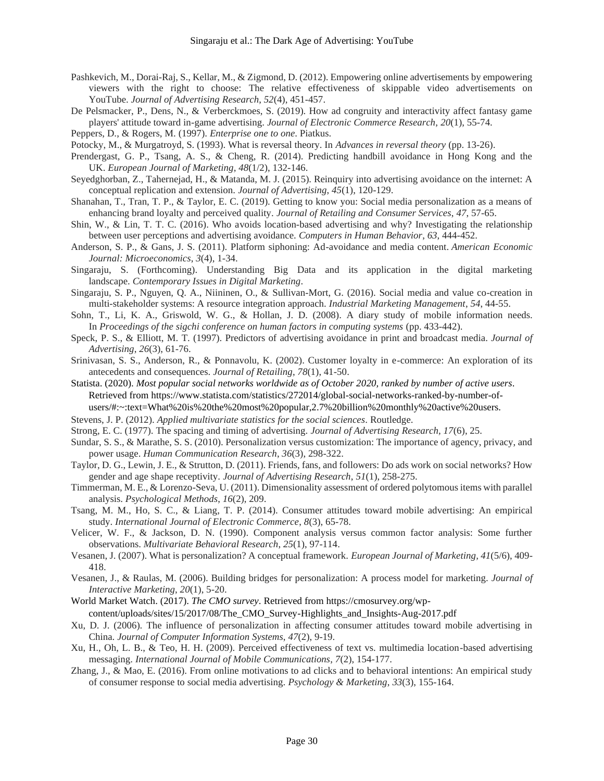- Pashkevich, M., Dorai-Raj, S., Kellar, M., & Zigmond, D. (2012). Empowering online advertisements by empowering viewers with the right to choose: The relative effectiveness of skippable video advertisements on YouTube. *Journal of Advertising Research*, *52*(4), 451-457.
- De Pelsmacker, P., Dens, N., & Verberckmoes, S. (2019). How ad congruity and interactivity affect fantasy game players' attitude toward in-game advertising. *Journal of Electronic Commerce Research*, *20*(1), 55-74.
- Peppers, D., & Rogers, M. (1997). *Enterprise one to one*. Piatkus.
- Potocky, M., & Murgatroyd, S. (1993). What is reversal theory. In *Advances in reversal theory* (pp. 13-26).
- Prendergast, G. P., Tsang, A. S., & Cheng, R. (2014). Predicting handbill avoidance in Hong Kong and the UK. *European Journal of Marketing, 48*(1/2), 132-146.
- Seyedghorban, Z., Tahernejad, H., & Matanda, M. J. (2015). Reinquiry into advertising avoidance on the internet: A conceptual replication and extension. *Journal of Advertising*, *45*(1), 120-129.
- Shanahan, T., Tran, T. P., & Taylor, E. C. (2019). Getting to know you: Social media personalization as a means of enhancing brand loyalty and perceived quality. *Journal of Retailing and Consumer Services*, *47*, 57-65.
- Shin, W., & Lin, T. T. C. (2016). Who avoids location-based advertising and why? Investigating the relationship between user perceptions and advertising avoidance. *Computers in Human Behavior*, *63*, 444-452.
- Anderson, S. P., & Gans, J. S. (2011). Platform siphoning: Ad-avoidance and media content. *American Economic Journal: Microeconomics*, *3*(4), 1-34.
- Singaraju, S. (Forthcoming). Understanding Big Data and its application in the digital marketing landscape. *Contemporary Issues in Digital Marketing*.
- Singaraju, S. P., Nguyen, Q. A., Niininen, O., & Sullivan-Mort, G. (2016). Social media and value co-creation in multi-stakeholder systems: A resource integration approach. *Industrial Marketing Management*, *54*, 44-55.
- Sohn, T., Li, K. A., Griswold, W. G., & Hollan, J. D. (2008). A diary study of mobile information needs. In *Proceedings of the sigchi conference on human factors in computing systems* (pp. 433-442).
- Speck, P. S., & Elliott, M. T. (1997). Predictors of advertising avoidance in print and broadcast media. *Journal of Advertising*, *26*(3), 61-76.
- Srinivasan, S. S., Anderson, R., & Ponnavolu, K. (2002). Customer loyalty in e-commerce: An exploration of its antecedents and consequences. *Journal of Retailing*, *78*(1), 41-50.
- Statista. (2020). *Most popular social networks worldwide as of October 2020, ranked by number of active users*. Retrieved from https://www.statista.com/statistics/272014/global-social-networks-ranked-by-number-ofusers/#:~:text=What%20is%20the%20most%20popular,2.7%20billion%20monthly%20active%20users.
- Stevens, J. P. (2012). *Applied multivariate statistics for the social sciences*. Routledge.
- Strong, E. C. (1977). The spacing and timing of advertising. *Journal of Advertising Research, 17*(6), 25.
- Sundar, S. S., & Marathe, S. S. (2010). Personalization versus customization: The importance of agency, privacy, and power usage. *Human Communication Research*, *36*(3), 298-322.
- Taylor, D. G., Lewin, J. E., & Strutton, D. (2011). Friends, fans, and followers: Do ads work on social networks? How gender and age shape receptivity. *Journal of Advertising Research*, *51*(1), 258-275.
- Timmerman, M. E., & Lorenzo-Seva, U. (2011). Dimensionality assessment of ordered polytomous items with parallel analysis. *Psychological Methods*, *16*(2), 209.
- Tsang, M. M., Ho, S. C., & Liang, T. P. (2014). Consumer attitudes toward mobile advertising: An empirical study. *International Journal of Electronic Commerce*, *8*(3), 65-78.
- Velicer, W. F., & Jackson, D. N. (1990). Component analysis versus common factor analysis: Some further observations. *Multivariate Behavioral Research*, *25*(1), 97-114.
- Vesanen, J. (2007). What is personalization? A conceptual framework. *European Journal of Marketing, 41*(5/6), 409- 418.
- Vesanen, J., & Raulas, M. (2006). Building bridges for personalization: A process model for marketing. *Journal of Interactive Marketing*, *20*(1), 5-20.
- World Market Watch. (2017). *The CMO survey*. Retrieved from https://cmosurvey.org/wpcontent/uploads/sites/15/2017/08/The\_CMO\_Survey-Highlights\_and\_Insights-Aug-2017.pdf
- Xu, D. J. (2006). The influence of personalization in affecting consumer attitudes toward mobile advertising in China. *Journal of Computer Information Systems*, *47*(2), 9-19.
- Xu, H., Oh, L. B., & Teo, H. H. (2009). Perceived effectiveness of text vs. multimedia location-based advertising messaging. *International Journal of Mobile Communications*, *7*(2), 154-177.
- Zhang, J., & Mao, E. (2016). From online motivations to ad clicks and to behavioral intentions: An empirical study of consumer response to social media advertising. *Psychology & Marketing*, *33*(3), 155-164.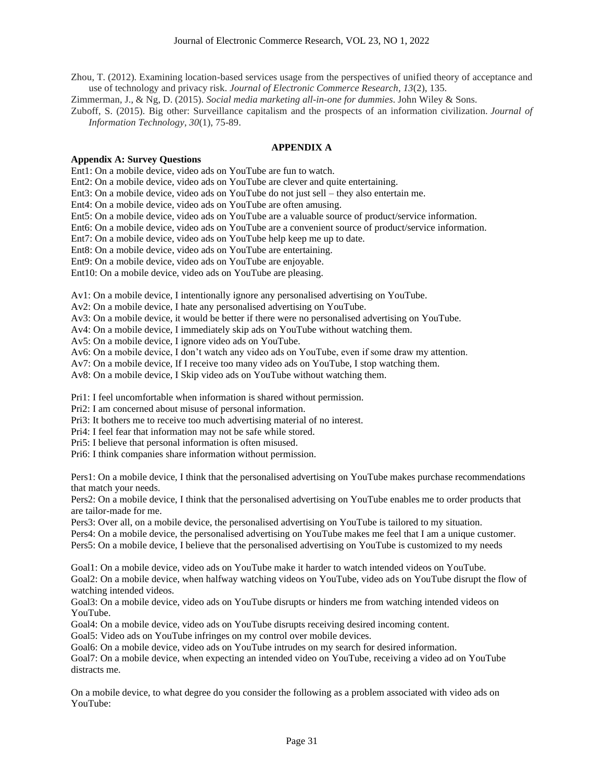Zhou, T. (2012). Examining location-based services usage from the perspectives of unified theory of acceptance and use of technology and privacy risk. *Journal of Electronic Commerce Research*, *13*(2), 135.

Zimmerman, J., & Ng, D. (2015). *Social media marketing all-in-one for dummies*. John Wiley & Sons.

Zuboff, S. (2015). Big other: Surveillance capitalism and the prospects of an information civilization. *Journal of Information Technology*, *30*(1), 75-89.

# **APPENDIX A**

### **Appendix A: Survey Questions**

Ent1: On a mobile device, video ads on YouTube are fun to watch.

Ent2: On a mobile device, video ads on YouTube are clever and quite entertaining.

Ent3: On a mobile device, video ads on YouTube do not just sell – they also entertain me.

Ent4: On a mobile device, video ads on YouTube are often amusing.

Ent5: On a mobile device, video ads on YouTube are a valuable source of product/service information.

Ent6: On a mobile device, video ads on YouTube are a convenient source of product/service information.

Ent7: On a mobile device, video ads on YouTube help keep me up to date.

Ent8: On a mobile device, video ads on YouTube are entertaining.

Ent9: On a mobile device, video ads on YouTube are enjoyable.

Ent10: On a mobile device, video ads on YouTube are pleasing.

Av1: On a mobile device, I intentionally ignore any personalised advertising on YouTube.

Av2: On a mobile device, I hate any personalised advertising on YouTube.

Av3: On a mobile device, it would be better if there were no personalised advertising on YouTube.

Av4: On a mobile device, I immediately skip ads on YouTube without watching them.

Av5: On a mobile device, I ignore video ads on YouTube.

Av6: On a mobile device, I don't watch any video ads on YouTube, even if some draw my attention.

Av7: On a mobile device, If I receive too many video ads on YouTube, I stop watching them.

Av8: On a mobile device, I Skip video ads on YouTube without watching them.

Pri1: I feel uncomfortable when information is shared without permission.

Pri2: I am concerned about misuse of personal information.

Pri3: It bothers me to receive too much advertising material of no interest.

Pri4: I feel fear that information may not be safe while stored.

Pri5: I believe that personal information is often misused.

Pri6: I think companies share information without permission.

Pers1: On a mobile device, I think that the personalised advertising on YouTube makes purchase recommendations that match your needs.

Pers2: On a mobile device, I think that the personalised advertising on YouTube enables me to order products that are tailor-made for me.

Pers3: Over all, on a mobile device, the personalised advertising on YouTube is tailored to my situation.

Pers4: On a mobile device, the personalised advertising on YouTube makes me feel that I am a unique customer.

Pers5: On a mobile device, I believe that the personalised advertising on YouTube is customized to my needs

Goal1: On a mobile device, video ads on YouTube make it harder to watch intended videos on YouTube. Goal2: On a mobile device, when halfway watching videos on YouTube, video ads on YouTube disrupt the flow of watching intended videos.

Goal3: On a mobile device, video ads on YouTube disrupts or hinders me from watching intended videos on YouTube.

Goal4: On a mobile device, video ads on YouTube disrupts receiving desired incoming content.

Goal5: Video ads on YouTube infringes on my control over mobile devices.

Goal6: On a mobile device, video ads on YouTube intrudes on my search for desired information.

Goal7: On a mobile device, when expecting an intended video on YouTube, receiving a video ad on YouTube distracts me.

On a mobile device, to what degree do you consider the following as a problem associated with video ads on YouTube: